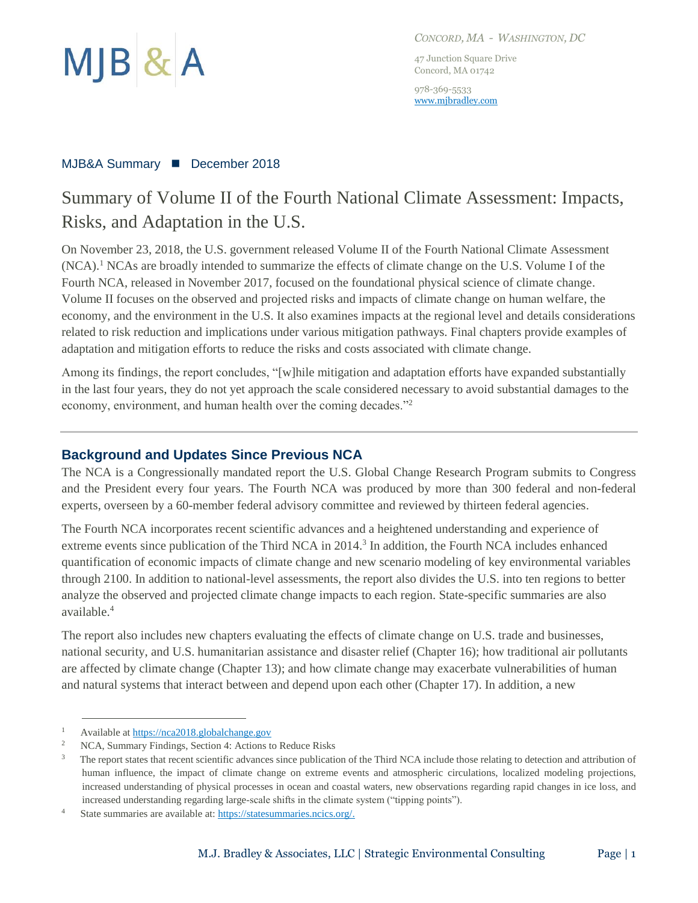

*CONCORD, MA - WASHINGTON, DC*

47 Junction Square Drive Concord, MA 01742

978-369-5533 [www.mjbradley.com](http://www.mjbradley.com/)

#### MJB&A Summary ◼ December 2018

## Summary of Volume II of the Fourth National Climate Assessment: Impacts, Risks, and Adaptation in the U.S.

On November 23, 2018, the U.S. government released Volume II of the Fourth National Climate Assessment (NCA).<sup>1</sup> NCAs are broadly intended to summarize the effects of climate change on the U.S. Volume I of the Fourth NCA, released in November 2017, focused on the foundational physical science of climate change. Volume II focuses on the observed and projected risks and impacts of climate change on human welfare, the economy, and the environment in the U.S. It also examines impacts at the regional level and details considerations related to risk reduction and implications under various mitigation pathways. Final chapters provide examples of adaptation and mitigation efforts to reduce the risks and costs associated with climate change.

Among its findings, the report concludes, "[w]hile mitigation and adaptation efforts have expanded substantially in the last four years, they do not yet approach the scale considered necessary to avoid substantial damages to the economy, environment, and human health over the coming decades."<sup>2</sup>

### **Background and Updates Since Previous NCA**

The NCA is a Congressionally mandated report the U.S. Global Change Research Program submits to Congress and the President every four years. The Fourth NCA was produced by more than 300 federal and non-federal experts, overseen by a 60-member federal advisory committee and reviewed by thirteen federal agencies.

The Fourth NCA incorporates recent scientific advances and a heightened understanding and experience of extreme events since publication of the Third NCA in 2014.<sup>3</sup> In addition, the Fourth NCA includes enhanced quantification of economic impacts of climate change and new scenario modeling of key environmental variables through 2100. In addition to national-level assessments, the report also divides the U.S. into ten regions to better analyze the observed and projected climate change impacts to each region. State-specific summaries are also available.<sup>4</sup>

The report also includes new chapters evaluating the effects of climate change on U.S. trade and businesses, national security, and U.S. humanitarian assistance and disaster relief (Chapter 16); how traditional air pollutants are affected by climate change (Chapter 13); and how climate change may exacerbate vulnerabilities of human and natural systems that interact between and depend upon each other (Chapter 17). In addition, a new

 $\overline{a}$ 

<sup>1</sup> Available a[t https://nca2018.globalchange.gov](https://nca2018.globalchange.gov/)

<sup>2</sup> NCA, Summary Findings, Section 4: Actions to Reduce Risks

<sup>3</sup> The report states that recent scientific advances since publication of the Third NCA include those relating to detection and attribution of human influence, the impact of climate change on extreme events and atmospheric circulations, localized modeling projections, increased understanding of physical processes in ocean and coastal waters, new observations regarding rapid changes in ice loss, and increased understanding regarding large-scale shifts in the climate system ("tipping points").

<sup>4</sup> State summaries are available at: [https://statesummaries.ncics.org/.](https://statesummaries.ncics.org/)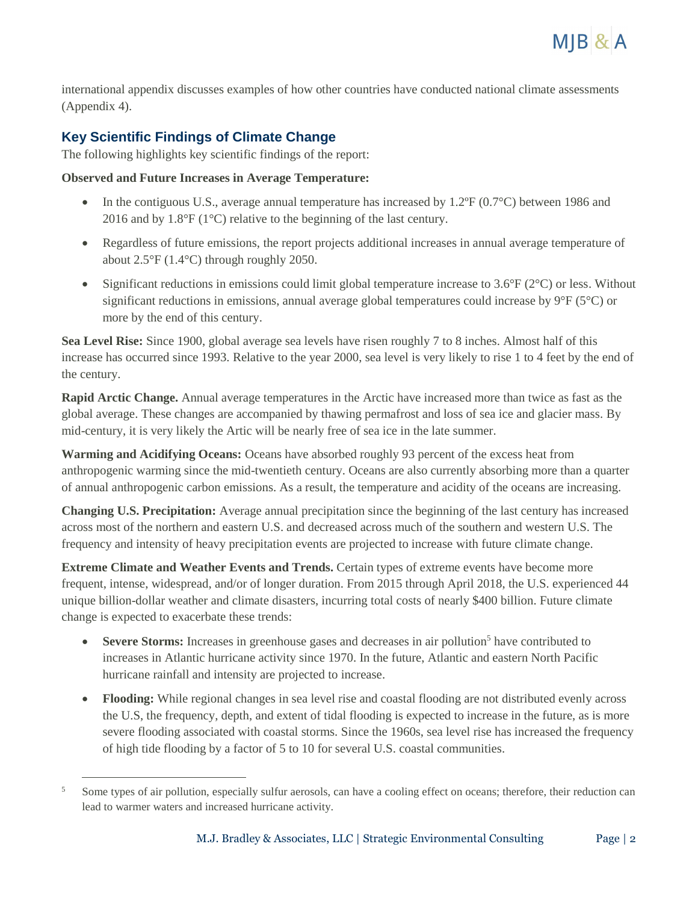

international appendix discusses examples of how other countries have conducted national climate assessments (Appendix 4).

## **Key Scientific Findings of Climate Change**

 $\overline{a}$ 

The following highlights key scientific findings of the report:

#### **Observed and Future Increases in Average Temperature:**

- In the contiguous U.S., average annual temperature has increased by 1.2 $\degree$ F (0.7 $\degree$ C) between 1986 and 2016 and by 1.8°F (1°C) relative to the beginning of the last century.
- Regardless of future emissions, the report projects additional increases in annual average temperature of about 2.5°F (1.4°C) through roughly 2050.
- Significant reductions in emissions could limit global temperature increase to  $3.6^{\circ}F(2^{\circ}C)$  or less. Without significant reductions in emissions, annual average global temperatures could increase by 9°F (5°C) or more by the end of this century.

**Sea Level Rise:** Since 1900, global average sea levels have risen roughly 7 to 8 inches. Almost half of this increase has occurred since 1993. Relative to the year 2000, sea level is very likely to rise 1 to 4 feet by the end of the century.

**Rapid Arctic Change.** Annual average temperatures in the Arctic have increased more than twice as fast as the global average. These changes are accompanied by thawing permafrost and loss of sea ice and glacier mass. By mid-century, it is very likely the Artic will be nearly free of sea ice in the late summer.

**Warming and Acidifying Oceans:** Oceans have absorbed roughly 93 percent of the excess heat from anthropogenic warming since the mid-twentieth century. Oceans are also currently absorbing more than a quarter of annual anthropogenic carbon emissions. As a result, the temperature and acidity of the oceans are increasing.

**Changing U.S. Precipitation:** Average annual precipitation since the beginning of the last century has increased across most of the northern and eastern U.S. and decreased across much of the southern and western U.S. The frequency and intensity of heavy precipitation events are projected to increase with future climate change.

**Extreme Climate and Weather Events and Trends.** Certain types of extreme events have become more frequent, intense, widespread, and/or of longer duration. From 2015 through April 2018, the U.S. experienced 44 unique billion-dollar weather and climate disasters, incurring total costs of nearly \$400 billion. Future climate change is expected to exacerbate these trends:

- **Severe Storms:** Increases in greenhouse gases and decreases in air pollution<sup>5</sup> have contributed to increases in Atlantic hurricane activity since 1970. In the future, Atlantic and eastern North Pacific hurricane rainfall and intensity are projected to increase.
- **Flooding:** While regional changes in sea level rise and coastal flooding are not distributed evenly across the U.S, the frequency, depth, and extent of tidal flooding is expected to increase in the future, as is more severe flooding associated with coastal storms. Since the 1960s, sea level rise has increased the frequency of high tide flooding by a factor of 5 to 10 for several U.S. coastal communities.

<sup>&</sup>lt;sup>5</sup> Some types of air pollution, especially sulfur aerosols, can have a cooling effect on oceans; therefore, their reduction can lead to warmer waters and increased hurricane activity.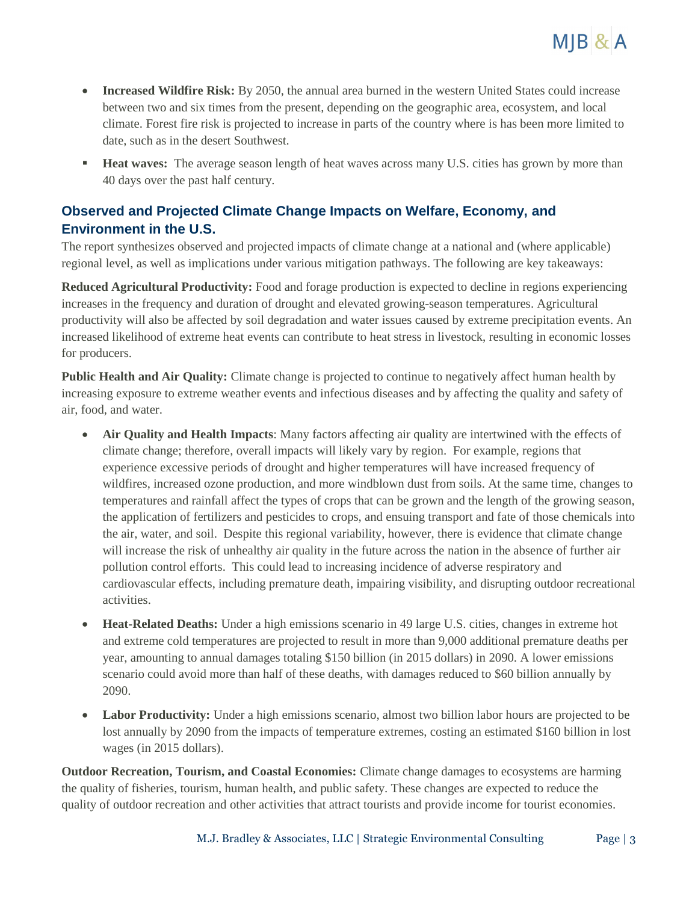

- **Increased Wildfire Risk:** By 2050, the annual area burned in the western United States could increase between two and six times from the present, depending on the geographic area, ecosystem, and local climate. Forest fire risk is projected to increase in parts of the country where is has been more limited to date, such as in the desert Southwest.
- **Heat waves:** The average season length of heat waves across many U.S. cities has grown by more than 40 days over the past half century.

## **Observed and Projected Climate Change Impacts on Welfare, Economy, and Environment in the U.S.**

The report synthesizes observed and projected impacts of climate change at a national and (where applicable) regional level, as well as implications under various mitigation pathways. The following are key takeaways:

**Reduced Agricultural Productivity:** Food and forage production is expected to decline in regions experiencing increases in the frequency and duration of drought and elevated growing-season temperatures. Agricultural productivity will also be affected by soil degradation and water issues caused by extreme precipitation events. An increased likelihood of extreme heat events can contribute to heat stress in livestock, resulting in economic losses for producers.

**Public Health and Air Quality:** Climate change is projected to continue to negatively affect human health by increasing exposure to extreme weather events and infectious diseases and by affecting the quality and safety of air, food, and water.

- **Air Quality and Health Impacts**: Many factors affecting air quality are intertwined with the effects of climate change; therefore, overall impacts will likely vary by region. For example, regions that experience excessive periods of drought and higher temperatures will have increased frequency of wildfires, increased ozone production, and more windblown dust from soils. At the same time, changes to temperatures and rainfall affect the types of crops that can be grown and the length of the growing season, the application of fertilizers and pesticides to crops, and ensuing transport and fate of those chemicals into the air, water, and soil. Despite this regional variability, however, there is evidence that climate change will increase the risk of unhealthy air quality in the future across the nation in the absence of further air pollution control efforts. This could lead to increasing incidence of adverse respiratory and cardiovascular effects, including premature death, impairing visibility, and disrupting outdoor recreational activities.
- **Heat-Related Deaths:** Under a high emissions scenario in 49 large U.S. cities, changes in extreme hot and extreme cold temperatures are projected to result in more than 9,000 additional premature deaths per year, amounting to annual damages totaling \$150 billion (in 2015 dollars) in 2090. A lower emissions scenario could avoid more than half of these deaths, with damages reduced to \$60 billion annually by 2090.
- Labor Productivity: Under a high emissions scenario, almost two billion labor hours are projected to be lost annually by 2090 from the impacts of temperature extremes, costing an estimated \$160 billion in lost wages (in 2015 dollars).

**Outdoor Recreation, Tourism, and Coastal Economies:** Climate change damages to ecosystems are harming the quality of fisheries, tourism, human health, and public safety. These changes are expected to reduce the quality of outdoor recreation and other activities that attract tourists and provide income for tourist economies.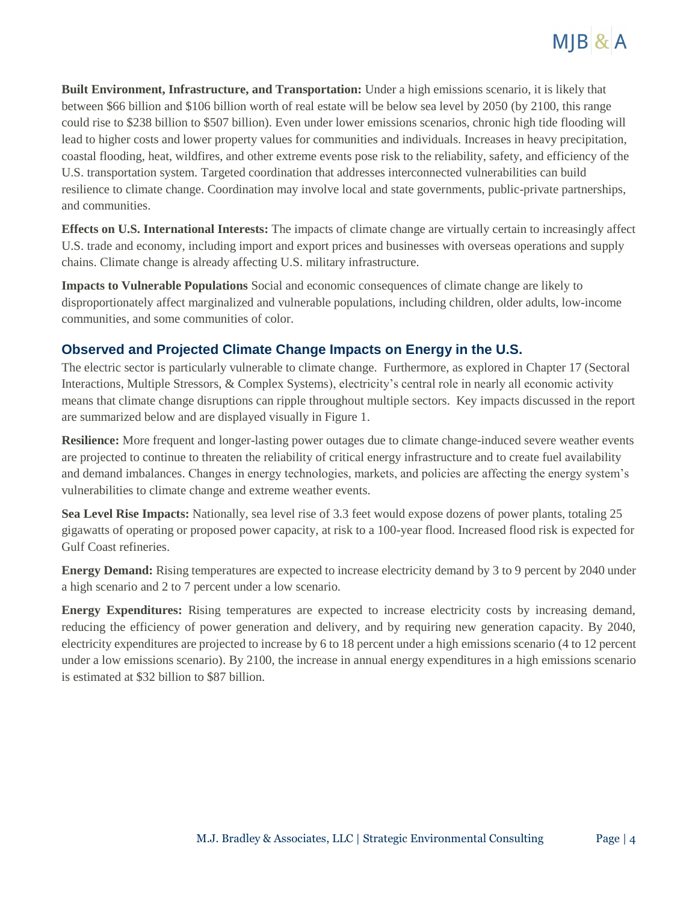

**Built Environment, Infrastructure, and Transportation:** Under a high emissions scenario, it is likely that between \$66 billion and \$106 billion worth of real estate will be below sea level by 2050 (by 2100, this range could rise to \$238 billion to \$507 billion). Even under lower emissions scenarios, chronic high tide flooding will lead to higher costs and lower property values for communities and individuals. Increases in heavy precipitation, coastal flooding, heat, wildfires, and other extreme events pose risk to the reliability, safety, and efficiency of the U.S. transportation system. Targeted coordination that addresses interconnected vulnerabilities can build resilience to climate change. Coordination may involve local and state governments, public-private partnerships, and communities.

**Effects on U.S. International Interests:** The impacts of climate change are virtually certain to increasingly affect U.S. trade and economy, including import and export prices and businesses with overseas operations and supply chains. Climate change is already affecting U.S. military infrastructure.

**Impacts to Vulnerable Populations** Social and economic consequences of climate change are likely to disproportionately affect marginalized and vulnerable populations, including children, older adults, low-income communities, and some communities of color.

## **Observed and Projected Climate Change Impacts on Energy in the U.S.**

The electric sector is particularly vulnerable to climate change. Furthermore, as explored in Chapter 17 (Sectoral Interactions, Multiple Stressors, & Complex Systems), electricity's central role in nearly all economic activity means that climate change disruptions can ripple throughout multiple sectors. Key impacts discussed in the report are summarized below and are displayed visually in Figure 1.

**Resilience:** More frequent and longer-lasting power outages due to climate change-induced severe weather events are projected to continue to threaten the reliability of critical energy infrastructure and to create fuel availability and demand imbalances. Changes in energy technologies, markets, and policies are affecting the energy system's vulnerabilities to climate change and extreme weather events.

**Sea Level Rise Impacts:** Nationally, sea level rise of 3.3 feet would expose dozens of power plants, totaling 25 gigawatts of operating or proposed power capacity, at risk to a 100-year flood. Increased flood risk is expected for Gulf Coast refineries.

**Energy Demand:** Rising temperatures are expected to increase electricity demand by 3 to 9 percent by 2040 under a high scenario and 2 to 7 percent under a low scenario.

**Energy Expenditures:** Rising temperatures are expected to increase electricity costs by increasing demand, reducing the efficiency of power generation and delivery, and by requiring new generation capacity. By 2040, electricity expenditures are projected to increase by 6 to 18 percent under a high emissions scenario (4 to 12 percent under a low emissions scenario). By 2100, the increase in annual energy expenditures in a high emissions scenario is estimated at \$32 billion to \$87 billion.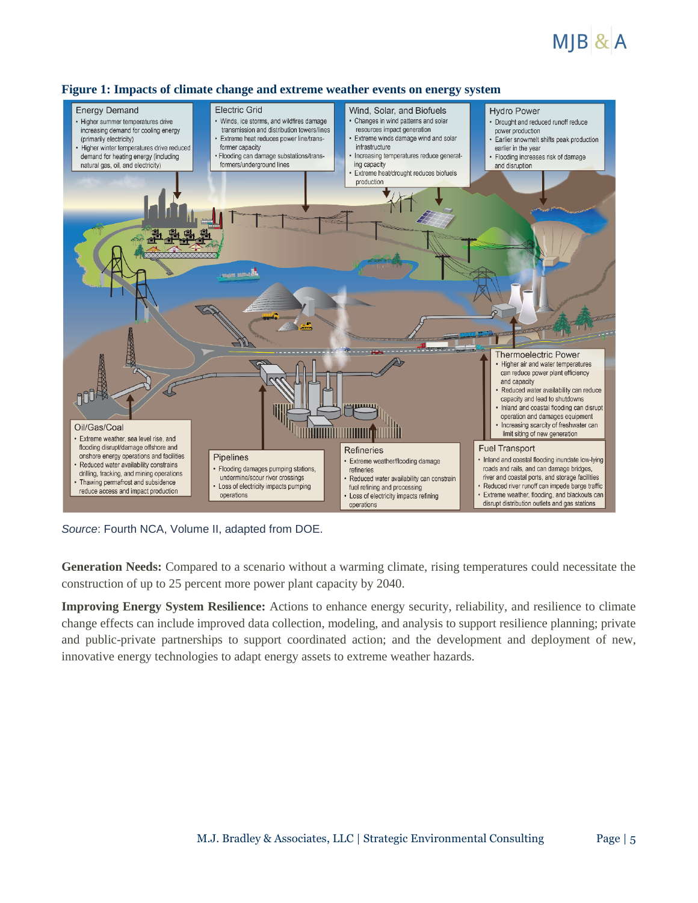# $MIB$ &A



#### **Figure 1: Impacts of climate change and extreme weather events on energy system**

*Source*: Fourth NCA, Volume II, adapted from DOE.

**Generation Needs:** Compared to a scenario without a warming climate, rising temperatures could necessitate the construction of up to 25 percent more power plant capacity by 2040.

**Improving Energy System Resilience:** Actions to enhance energy security, reliability, and resilience to climate change effects can include improved data collection, modeling, and analysis to support resilience planning; private and public-private partnerships to support coordinated action; and the development and deployment of new, innovative energy technologies to adapt energy assets to extreme weather hazards.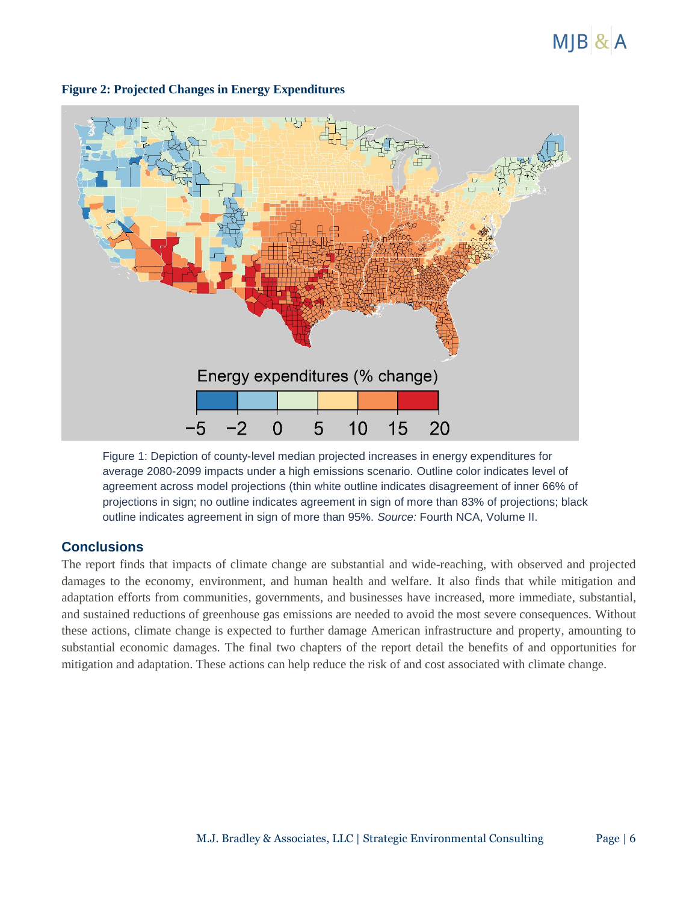## $M$ JB $& A$



#### **Figure 2: Projected Changes in Energy Expenditures**

Figure 1: Depiction of county-level median projected increases in energy expenditures for average 2080-2099 impacts under a high emissions scenario. Outline color indicates level of agreement across model projections (thin white outline indicates disagreement of inner 66% of projections in sign; no outline indicates agreement in sign of more than 83% of projections; black outline indicates agreement in sign of more than 95%. *Source:* Fourth NCA, Volume II.

## **Conclusions**

The report finds that impacts of climate change are substantial and wide-reaching, with observed and projected damages to the economy, environment, and human health and welfare. It also finds that while mitigation and adaptation efforts from communities, governments, and businesses have increased, more immediate, substantial, and sustained reductions of greenhouse gas emissions are needed to avoid the most severe consequences. Without these actions, climate change is expected to further damage American infrastructure and property, amounting to substantial economic damages. The final two chapters of the report detail the benefits of and opportunities for mitigation and adaptation. These actions can help reduce the risk of and cost associated with climate change.